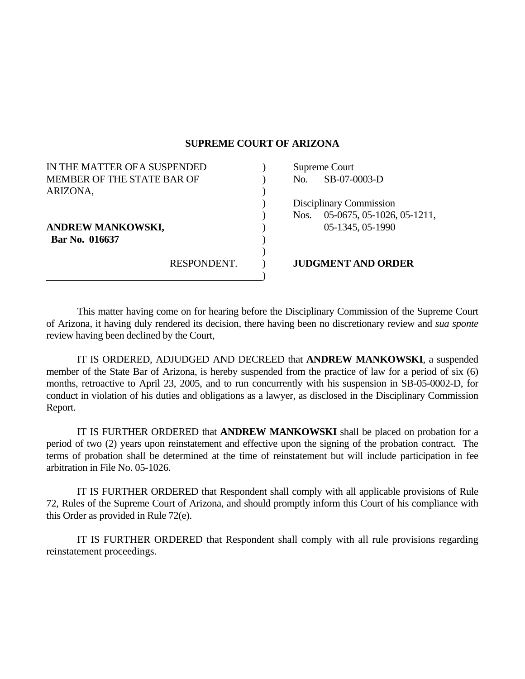## **SUPREME COURT OF ARIZONA**

| IN THE MATTER OF A SUSPENDED |             | Supreme Court |                            |
|------------------------------|-------------|---------------|----------------------------|
| MEMBER OF THE STATE BAR OF   |             | No.           | SB-07-0003-D               |
| ARIZONA,                     |             |               |                            |
|                              |             |               | Disciplinary Commission    |
|                              |             | Nos.          | 05-0675, 05-1026, 05-1211, |
| ANDREW MANKOWSKI,            |             |               | 05-1345, 05-1990           |
| Bar No. 016637               |             |               |                            |
|                              |             |               |                            |
|                              | RESPONDENT. |               | <b>JUDGMENT AND ORDER</b>  |
|                              |             |               |                            |

 This matter having come on for hearing before the Disciplinary Commission of the Supreme Court of Arizona, it having duly rendered its decision, there having been no discretionary review and *sua sponte* review having been declined by the Court,

 IT IS ORDERED, ADJUDGED AND DECREED that **ANDREW MANKOWSKI**, a suspended member of the State Bar of Arizona, is hereby suspended from the practice of law for a period of six (6) months, retroactive to April 23, 2005, and to run concurrently with his suspension in SB-05-0002-D, for conduct in violation of his duties and obligations as a lawyer, as disclosed in the Disciplinary Commission Report.

 IT IS FURTHER ORDERED that **ANDREW MANKOWSKI** shall be placed on probation for a period of two (2) years upon reinstatement and effective upon the signing of the probation contract. The terms of probation shall be determined at the time of reinstatement but will include participation in fee arbitration in File No. 05-1026.

 IT IS FURTHER ORDERED that Respondent shall comply with all applicable provisions of Rule 72, Rules of the Supreme Court of Arizona, and should promptly inform this Court of his compliance with this Order as provided in Rule 72(e).

 IT IS FURTHER ORDERED that Respondent shall comply with all rule provisions regarding reinstatement proceedings.